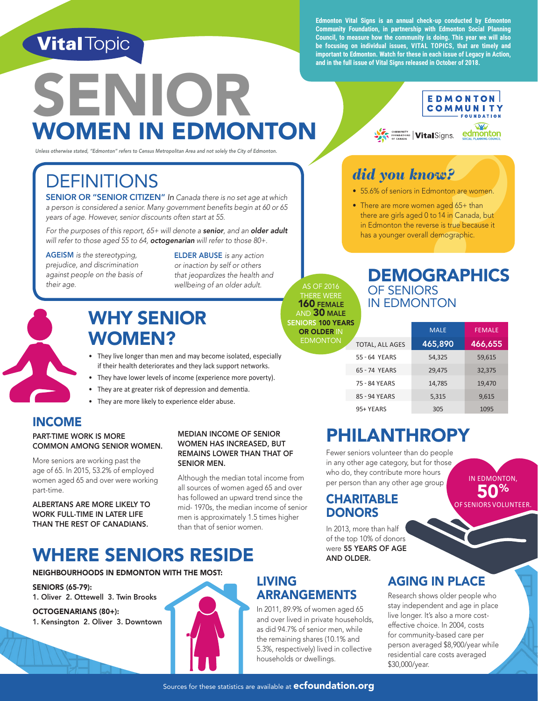# **Vital Topic**

**Edmonton Vital Signs is an annual check-up conducted by Edmonton Community Foundation, in partnership with Edmonton Social Planning Council, to measure how the community is doing. This year we will also be focusing on individual issues, VITAL TOPICS, that are timely and important to Edmonton. Watch for these in each issue of Legacy in Action, and in the full issue of Vital Signs released in October of 2018.**

*did you know?*

**With SOUNDATIONS** VitalSigns.

• 55.6% of seniors in Edmonton are women. • There are more women aged 65+ than there are girls aged 0 to 14 in Canada, but in Edmonton the reverse is true because it has a younger overall demographic.

**EDMONTON COMMUNITY FOUNDATION OY** 

edmonton

# SENIOR WOMEN IN EDMONTON

*Unless otherwise stated, "Edmonton" refers to Census Metropolitan Area and not solely the City of Edmonton.* 

# **DEFINITIONS**

SENIOR OR "SENIOR CITIZEN" *In Canada there is no set age at which a person is considered a senior. Many government benefits begin at 60 or 65 years of age. However, senior discounts often start at 55.*

*For the purposes of this report, 65+ will denote a senior, and an older adult will refer to those aged 55 to 64, octogenarian will refer to those 80+.*

AGEISM *is the stereotyping, prejudice, and discrimination against people on the basis of their age.* 

ELDER ABUSE *is any action or inaction by self or others that jeopardizes the health and wellbeing of an older adult.*



# WHY SENIOR WOMEN?

- They live longer than men and may become isolated, especially if their health deteriorates and they lack support networks.
- They have lower levels of income (experience more poverty).
- They are at greater risk of depression and dementia. • They are more likely to experience elder abuse.

### INCOME

#### PART-TIME WORK IS MORE COMMON AMONG SENIOR WOMEN.

More seniors are working past the age of 65. In 2015, 53.2% of employed women aged 65 and over were working part-time.

ALBERTANS ARE MORE LIKELY TO WORK FULL-TIME IN LATER LIFE THAN THE REST OF CANADIANS.

#### MEDIAN INCOME OF SENIOR WOMEN HAS INCREASED, BUT REMAINS LOWER THAN THAT OF SENIOR MEN.

Although the median total income from all sources of women aged 65 and over has followed an upward trend since the mid- 1970s, the median income of senior men is approximately 1.5 times higher than that of senior women.

# 95+ YEARS 305 1095

### PHILANTHROPY

Fewer seniors volunteer than do people in any other age category, but for those who do, they contribute more hours per person than any other age group. 50% OF SENIORS VOLUNTEER.

#### **CHARITABLE DONORS**

In 2013, more than half of the top 10% of donors<br>were 55 YEARS OF AGE

### WHERE SENIORS RESIDE AND OLDER.

#### NEIGHBOURHOODS IN EDMONTON WITH THE MOST:

SENIORS (65-79): 1. Oliver 2. Ottewell 3. Twin Brooks

OCTOGENARIANS (80+): 1. Kensington 2. Oliver 3. Downtown

### LIVING ARRANGEMENTS

In 2011, 89.9% of women aged 65 and over lived in private households, as did 94.7% of senior men, while the remaining shares (10.1% and 5.3%, respectively) lived in collective households or dwellings.

### AGING IN PLACE

IN EDMONTON,

Research shows older people who stay independent and age in place live longer. It's also a more costeffective choice. In 2004, costs for community-based care per person averaged \$8,900/year while residential care costs averaged \$30,000/year.

AS OF 2016 **IFRE WERE** 160 FEMALE AND  $30$  male SENIORS 100 YEARS **OR OLDER IN** 

EDMONTON

**Proof**<br> **Prooff**<br> **Prooff**<br> **Example 3**<br> **Example 3**<br> **PRAPHICS**<br> **PRAPHICS DEMOGRAPHICS** OF SENIORS IN EDMONTON

 MALE FEMALE TOTAL, ALL AGES 465,890 466,655 55 - 64 YEARS 54,325 59,615 65 - 74 YEARS 29,475 32,375 75 - 84 YEARS 14,785 19,470 85 - 94 YEARS 5,315 9,615